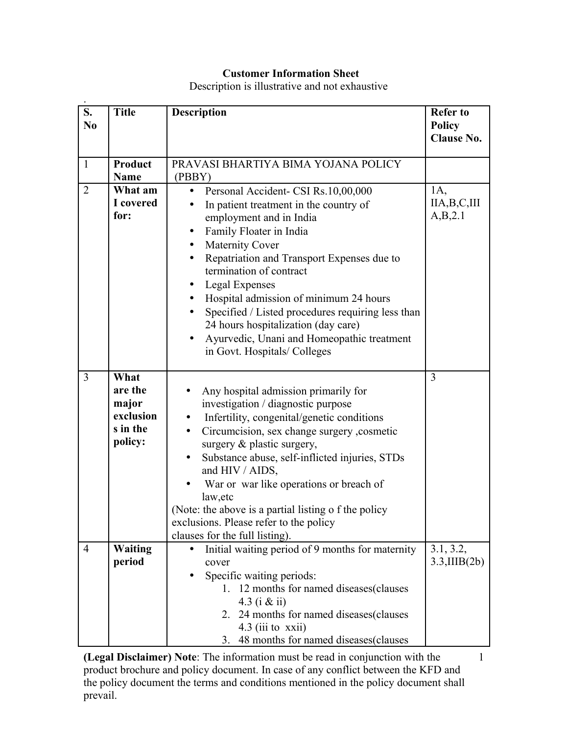## **Customer Information Sheet**

Description is illustrative and not exhaustive

| S.<br>N <sub>0</sub> | <b>Title</b>                                                 | <b>Description</b>                                                                                                                                                                                                                                                                                                                                                                                                                                                                                                                              | <b>Refer to</b><br><b>Policy</b><br><b>Clause No.</b> |
|----------------------|--------------------------------------------------------------|-------------------------------------------------------------------------------------------------------------------------------------------------------------------------------------------------------------------------------------------------------------------------------------------------------------------------------------------------------------------------------------------------------------------------------------------------------------------------------------------------------------------------------------------------|-------------------------------------------------------|
| $\mathbf{1}$         | <b>Product</b>                                               | PRAVASI BHARTIYA BIMA YOJANA POLICY                                                                                                                                                                                                                                                                                                                                                                                                                                                                                                             |                                                       |
| $\overline{2}$       | <b>Name</b><br>What am<br>I covered<br>for:                  | (PBBY)<br>Personal Accident- CSI Rs.10,00,000<br>$\bullet$<br>In patient treatment in the country of<br>employment and in India<br>Family Floater in India<br>$\bullet$<br>Maternity Cover<br>Repatriation and Transport Expenses due to<br>$\bullet$<br>termination of contract<br>Legal Expenses<br>$\bullet$<br>Hospital admission of minimum 24 hours<br>$\bullet$<br>Specified / Listed procedures requiring less than<br>24 hours hospitalization (day care)<br>Ayurvedic, Unani and Homeopathic treatment<br>in Govt. Hospitals/Colleges | 1A,<br>IIA,B,C,III<br>A,B,2.1                         |
| $\overline{3}$       | What<br>are the<br>major<br>exclusion<br>s in the<br>policy: | Any hospital admission primarily for<br>investigation / diagnostic purpose<br>Infertility, congenital/genetic conditions<br>$\bullet$<br>Circumcision, sex change surgery ,cosmetic<br>$\bullet$<br>surgery & plastic surgery,<br>Substance abuse, self-inflicted injuries, STDs<br>and HIV / AIDS,<br>War or war like operations or breach of<br>law, etc<br>(Note: the above is a partial listing o f the policy<br>exclusions. Please refer to the policy<br>clauses for the full listing).                                                  | $\overline{3}$                                        |
| $\overline{4}$       | <b>Waiting</b><br>period                                     | Initial waiting period of 9 months for maternity<br>cover<br>Specific waiting periods:<br>1. 12 months for named diseases (clauses)<br>4.3 (i $\&$ ii)<br>2. 24 months for named diseases (clauses)<br>$4.3$ (iii to xxii)<br>3. 48 months for named diseases(clauses                                                                                                                                                                                                                                                                           | 3.1, 3.2,<br>$3.3,\text{IIB}(2b)$                     |

**(Legal Disclaimer) Note**: The information must be read in conjunction with the product brochure and policy document. In case of any conflict between the KFD and the policy document the terms and conditions mentioned in the policy document shall prevail.

1